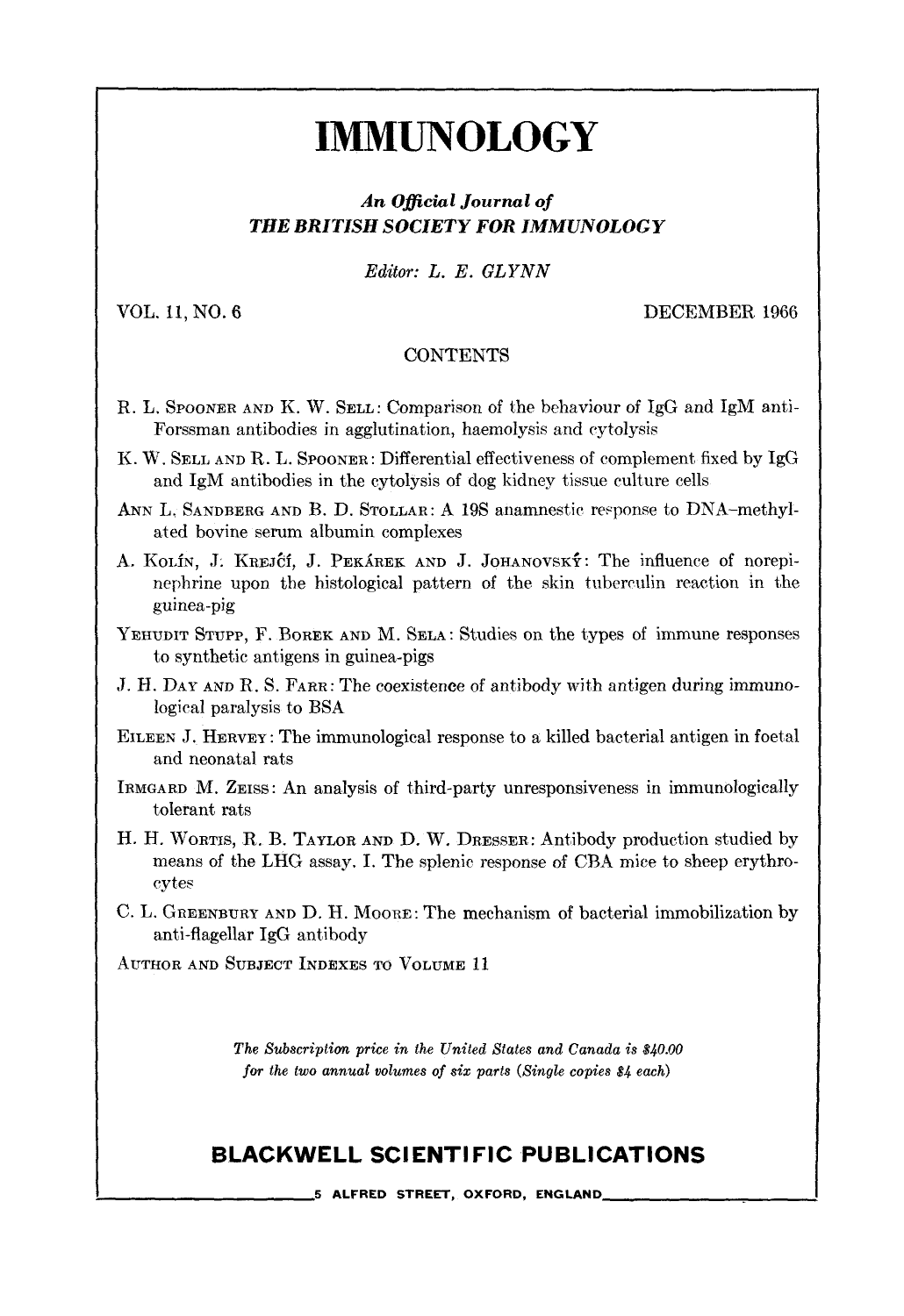# **IMMUNOLOGY**

### **An Official Journal of** *THE BRITISH SOCIETY FOR IMMUNOLOGY*

*Editor: L. E. GLYNN* 

VOL. 11, NO. 6 DECEMBER 1966

#### **CONTENTS**

- **R. L. SPOONER AND K. W. SELL: Comparison of the behaviour of IgG and IgM anti-**Forssman antibodies in agglutination, haemolysis and cytolysis
- K. W. SELL AND R. L. SPOONER: Differential effectiveness of complement fixed by IgG and IgM antibodies in the cytolysis of dog kidney tissue culture cells
- ANN L. SANDBERG AND B. D. STOLLAR: A 19S anamnestic response to DNA-methylated bovine serum albumin complexes
- A. KOLIN, J. KREJCI, J. PEKAREK AND J. JOHANOVSKÝ: The influence of norepinephrine upon tbe histological pattern of the skin tuberculin reaction in the guinea-pig
- YEHUDIT STUPP, F. BOREK AND M. SELA: Studies on the types of immune responses to synthetic antigens in guinea-pigs
- J. H. DAY AND R. S. FARR: The coexistence of antibody with antigen during immunological paralysis to BSA
- EILEEN J. HERVEY : The immunological response to a killed bacterial antigen in foetal and neonatal rats
- IRMGARD **M. ZEISS:** An analysis of third-party unresponsiveness in immunologically tolerant rats
- H. H. WORTIS, R. B. TAYLOR AND D. W. DRESSER: Antibody production studied by means of the LHG assay. I. The splenic response of CBA mice to sheep erythrocytes
- **C. L. GREENBURY AND D. H. MOORE: The mechanism of bacterial immobilization by** anti-flagellar IgG antibody

AUTHOR AND SUBJECT INDEXES TO VOLUME 11

*The Subscription price in the United States and Canada is \$40.00 for the two annual volumes of six parts (Single copies \$4 each)* 

## **BLACKWELL SCIENTIFIC PUBLICATIONS**

**.5 ALFRED STREET, OXFORD, ENGLAND**